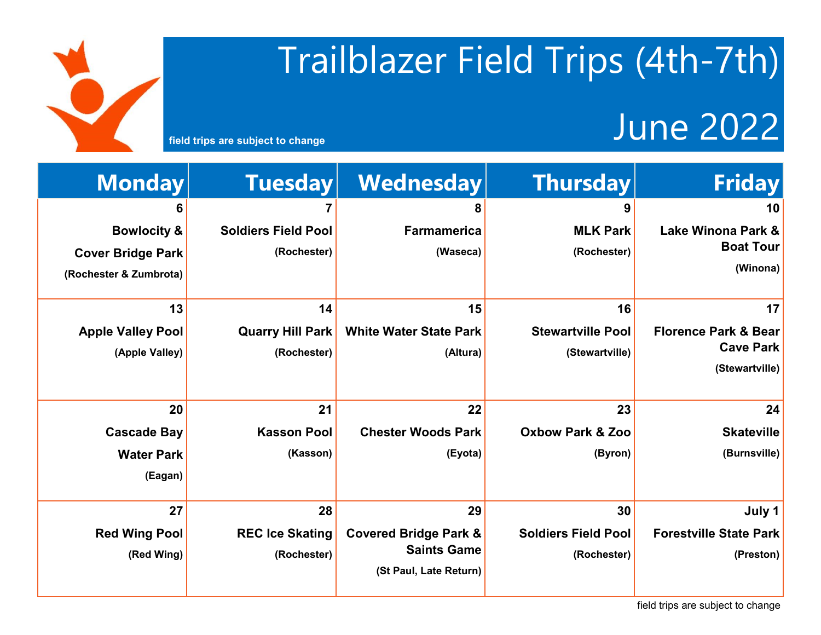# Trailblazer Field Trips (4th-7th)

#### field trips are subject to change<br> **Field trips are subject to change**

| <b>Monday</b>            | <b>Tuesday</b>             | Wednesday                        | <b>Thursday</b>             | <b>Friday</b>                   |
|--------------------------|----------------------------|----------------------------------|-----------------------------|---------------------------------|
| 6                        |                            | 8                                | 9                           | 10                              |
| <b>Bowlocity &amp;</b>   | <b>Soldiers Field Pool</b> | <b>Farmamerica</b>               | <b>MLK Park</b>             | <b>Lake Winona Park &amp;</b>   |
| <b>Cover Bridge Park</b> | (Rochester)                | (Waseca)                         | (Rochester)                 | <b>Boat Tour</b>                |
| (Rochester & Zumbrota)   |                            |                                  |                             | (Winona)                        |
| 13                       | 14                         | 15                               | 16                          | 17                              |
| <b>Apple Valley Pool</b> | <b>Quarry Hill Park</b>    | <b>White Water State Park</b>    | <b>Stewartville Pool</b>    | <b>Florence Park &amp; Bear</b> |
| (Apple Valley)           | (Rochester)                | (Altura)                         | (Stewartville)              | <b>Cave Park</b>                |
|                          |                            |                                  |                             | (Stewartville)                  |
| 20                       | 21                         | 22                               | 23                          | 24                              |
| <b>Cascade Bay</b>       | <b>Kasson Pool</b>         | <b>Chester Woods Park</b>        | <b>Oxbow Park &amp; Zoo</b> | <b>Skateville</b>               |
| <b>Water Park</b>        | (Kasson)                   | (Eyota)                          | (Byron)                     | (Burnsville)                    |
| (Eagan)                  |                            |                                  |                             |                                 |
| 27                       | 28                         | 29                               | 30                          | July 1                          |
| <b>Red Wing Pool</b>     | <b>REC Ice Skating</b>     | <b>Covered Bridge Park &amp;</b> | <b>Soldiers Field Pool</b>  | <b>Forestville State Park</b>   |
| (Red Wing)               | (Rochester)                | <b>Saints Game</b>               | (Rochester)                 | (Preston)                       |
|                          |                            | (St Paul, Late Return)           |                             |                                 |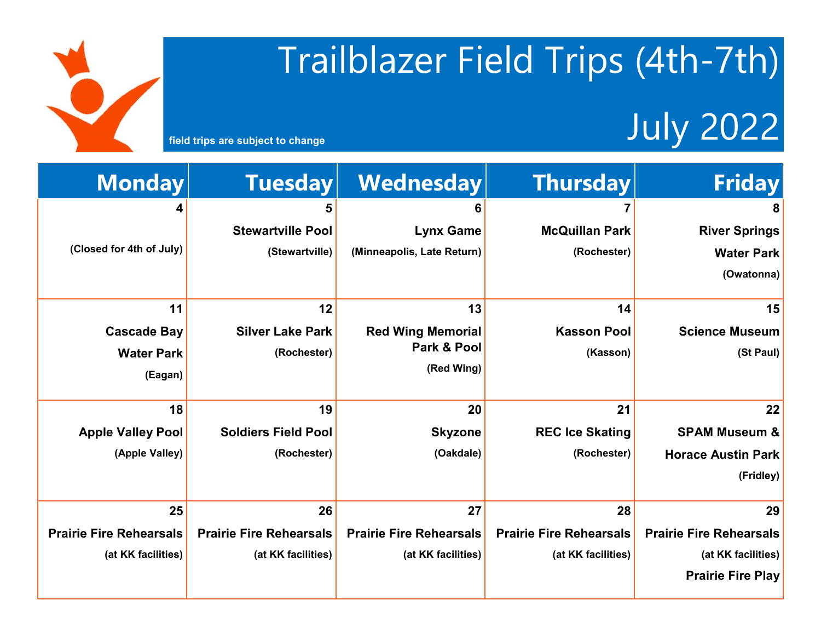### Trailblazer Field Trips (4th-7th)

### field trips are subject to change **July 2022**

I